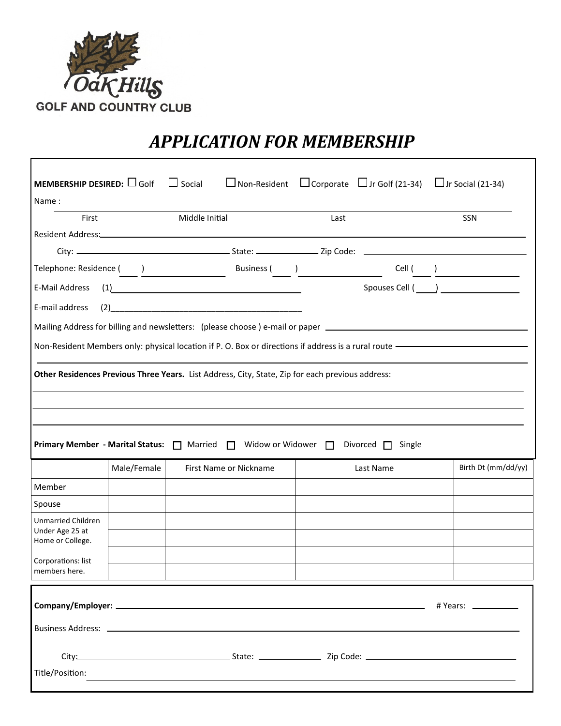

## *APPLICATION FOR MEMBERSHIP*

| <b>MEMBERSHIP DESIRED:</b> $\Box$ Golf                           |             | $\Box$ Social                                                                                                                                                                                                                                                                                                                                                 | $\Box$ Non-Resident $\Box$ Corporate $\Box$ Jr Golf (21-34) $\Box$ Jr Social (21-34)                                                                                                                                                                                                                                                                               |  |                      |
|------------------------------------------------------------------|-------------|---------------------------------------------------------------------------------------------------------------------------------------------------------------------------------------------------------------------------------------------------------------------------------------------------------------------------------------------------------------|--------------------------------------------------------------------------------------------------------------------------------------------------------------------------------------------------------------------------------------------------------------------------------------------------------------------------------------------------------------------|--|----------------------|
| Name:                                                            |             |                                                                                                                                                                                                                                                                                                                                                               |                                                                                                                                                                                                                                                                                                                                                                    |  |                      |
| First                                                            |             | Middle Initial                                                                                                                                                                                                                                                                                                                                                | Last                                                                                                                                                                                                                                                                                                                                                               |  | SSN                  |
|                                                                  |             |                                                                                                                                                                                                                                                                                                                                                               |                                                                                                                                                                                                                                                                                                                                                                    |  |                      |
|                                                                  |             |                                                                                                                                                                                                                                                                                                                                                               |                                                                                                                                                                                                                                                                                                                                                                    |  |                      |
|                                                                  |             |                                                                                                                                                                                                                                                                                                                                                               | $\begin{picture}(150,10) \put(0,0){\vector(1,0){100}} \put(15,0){\vector(1,0){100}} \put(15,0){\vector(1,0){100}} \put(15,0){\vector(1,0){100}} \put(15,0){\vector(1,0){100}} \put(15,0){\vector(1,0){100}} \put(15,0){\vector(1,0){100}} \put(15,0){\vector(1,0){100}} \put(15,0){\vector(1,0){100}} \put(15,0){\vector(1,0){100}} \put(15,0){\vector(1,0){100}}$ |  |                      |
| (1)<br>E-Mail Address                                            |             |                                                                                                                                                                                                                                                                                                                                                               |                                                                                                                                                                                                                                                                                                                                                                    |  |                      |
| E-mail address                                                   |             | $(2) \begin{tabular}{@{}c@{}} \hline \rule{0.2cm}{0.2cm} \rule{0.2cm}{0.2cm} \rule{0.2cm}{0.2cm} \rule{0.2cm}{0.2cm} \rule{0.2cm}{0.2cm} \rule{0.2cm}{0.2cm} \rule{0.2cm}{0.2cm} \rule{0.2cm}{0.2cm} \rule{0.2cm}{0.2cm} \rule{0.2cm}{0.2cm} \rule{0.2cm}{0.2cm} \rule{0.2cm}{0.2cm} \rule{0.2cm}{0.2cm} \rule{0.2cm}{0.2cm} \rule{0.2cm}{0.2cm} \rule{0.2cm$ |                                                                                                                                                                                                                                                                                                                                                                    |  |                      |
|                                                                  |             | Mailing Address for billing and newsletters: (please choose) e-mail or paper _________________________________                                                                                                                                                                                                                                                |                                                                                                                                                                                                                                                                                                                                                                    |  |                      |
|                                                                  |             | Non-Resident Members only: physical location if P. O. Box or directions if address is a rural route - The Manus                                                                                                                                                                                                                                               |                                                                                                                                                                                                                                                                                                                                                                    |  |                      |
|                                                                  |             |                                                                                                                                                                                                                                                                                                                                                               |                                                                                                                                                                                                                                                                                                                                                                    |  |                      |
|                                                                  | Male/Female | Primary Member - Marital Status: □ Married □ Widow or Widower □ Divorced □ Single<br>First Name or Nickname                                                                                                                                                                                                                                                   | Last Name                                                                                                                                                                                                                                                                                                                                                          |  | Birth Dt (mm/dd/yy)  |
| Member                                                           |             |                                                                                                                                                                                                                                                                                                                                                               |                                                                                                                                                                                                                                                                                                                                                                    |  |                      |
| Spouse                                                           |             |                                                                                                                                                                                                                                                                                                                                                               |                                                                                                                                                                                                                                                                                                                                                                    |  |                      |
| <b>Unmarried Children</b><br>Under Age 25 at<br>Home or College. |             |                                                                                                                                                                                                                                                                                                                                                               |                                                                                                                                                                                                                                                                                                                                                                    |  |                      |
| Corporations: list<br>members here.                              |             |                                                                                                                                                                                                                                                                                                                                                               |                                                                                                                                                                                                                                                                                                                                                                    |  |                      |
|                                                                  |             |                                                                                                                                                                                                                                                                                                                                                               |                                                                                                                                                                                                                                                                                                                                                                    |  | # Years: ___________ |
|                                                                  |             |                                                                                                                                                                                                                                                                                                                                                               |                                                                                                                                                                                                                                                                                                                                                                    |  |                      |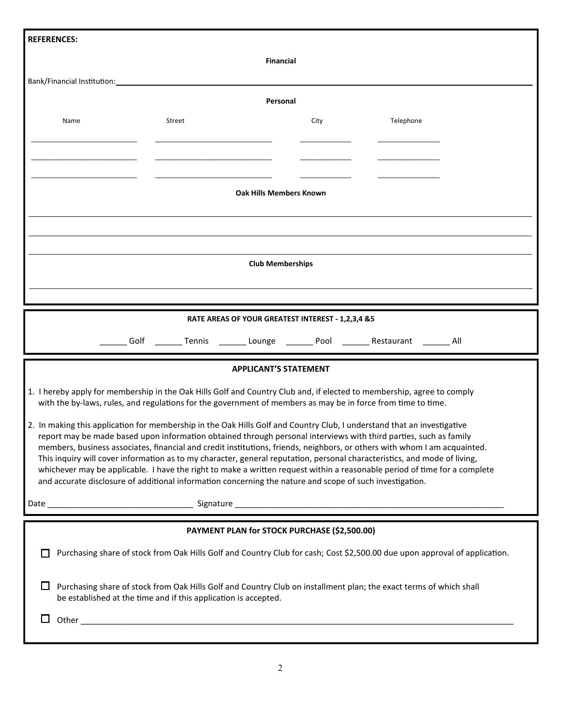| <b>REFERENCES:</b>                                                                                                                                                                                                                     |        |                                                   |                                                                                                                                                                                                                                                        |  |
|----------------------------------------------------------------------------------------------------------------------------------------------------------------------------------------------------------------------------------------|--------|---------------------------------------------------|--------------------------------------------------------------------------------------------------------------------------------------------------------------------------------------------------------------------------------------------------------|--|
|                                                                                                                                                                                                                                        |        | Financial                                         |                                                                                                                                                                                                                                                        |  |
| Bank/Financial Institution: National Assembly of the Contract of the Contract of the Contract of the Contract o                                                                                                                        |        |                                                   |                                                                                                                                                                                                                                                        |  |
|                                                                                                                                                                                                                                        |        | Personal                                          |                                                                                                                                                                                                                                                        |  |
| Name                                                                                                                                                                                                                                   | Street | City                                              | Telephone                                                                                                                                                                                                                                              |  |
|                                                                                                                                                                                                                                        |        |                                                   |                                                                                                                                                                                                                                                        |  |
|                                                                                                                                                                                                                                        |        |                                                   |                                                                                                                                                                                                                                                        |  |
|                                                                                                                                                                                                                                        |        |                                                   |                                                                                                                                                                                                                                                        |  |
|                                                                                                                                                                                                                                        |        | Oak Hills Members Known                           |                                                                                                                                                                                                                                                        |  |
|                                                                                                                                                                                                                                        |        |                                                   |                                                                                                                                                                                                                                                        |  |
|                                                                                                                                                                                                                                        |        |                                                   |                                                                                                                                                                                                                                                        |  |
|                                                                                                                                                                                                                                        |        | <b>Club Memberships</b>                           |                                                                                                                                                                                                                                                        |  |
|                                                                                                                                                                                                                                        |        |                                                   |                                                                                                                                                                                                                                                        |  |
|                                                                                                                                                                                                                                        |        |                                                   |                                                                                                                                                                                                                                                        |  |
|                                                                                                                                                                                                                                        |        | RATE AREAS OF YOUR GREATEST INTEREST - 1,2,3,4 &5 |                                                                                                                                                                                                                                                        |  |
|                                                                                                                                                                                                                                        | Golf   |                                                   | Tennis _________ Lounge __________ Pool _________ Restaurant ________ All                                                                                                                                                                              |  |
|                                                                                                                                                                                                                                        |        | <b>APPLICANT'S STATEMENT</b>                      |                                                                                                                                                                                                                                                        |  |
| 1. I hereby apply for membership in the Oak Hills Golf and Country Club and, if elected to membership, agree to comply<br>with the by-laws, rules, and regulations for the government of members as may be in force from time to time. |        |                                                   |                                                                                                                                                                                                                                                        |  |
| 2. In making this application for membership in the Oak Hills Golf and Country Club, I understand that an investigative                                                                                                                |        |                                                   |                                                                                                                                                                                                                                                        |  |
|                                                                                                                                                                                                                                        |        |                                                   | report may be made based upon information obtained through personal interviews with third parties, such as family<br>members, business associates, financial and credit institutions, friends, neighbors, or others with whom I am acquainted.         |  |
|                                                                                                                                                                                                                                        |        |                                                   | This inquiry will cover information as to my character, general reputation, personal characteristics, and mode of living,<br>whichever may be applicable. I have the right to make a written request within a reasonable period of time for a complete |  |
| and accurate disclosure of additional information concerning the nature and scope of such investigation.                                                                                                                               |        |                                                   |                                                                                                                                                                                                                                                        |  |
|                                                                                                                                                                                                                                        |        |                                                   |                                                                                                                                                                                                                                                        |  |
|                                                                                                                                                                                                                                        |        | PAYMENT PLAN for STOCK PURCHASE (\$2,500.00)      |                                                                                                                                                                                                                                                        |  |
|                                                                                                                                                                                                                                        |        |                                                   |                                                                                                                                                                                                                                                        |  |
|                                                                                                                                                                                                                                        |        |                                                   | Purchasing share of stock from Oak Hills Golf and Country Club for cash; Cost \$2,500.00 due upon approval of application.                                                                                                                             |  |
| Purchasing share of stock from Oak Hills Golf and Country Club on installment plan; the exact terms of which shall<br>be established at the time and if this application is accepted.                                                  |        |                                                   |                                                                                                                                                                                                                                                        |  |
| ப                                                                                                                                                                                                                                      |        |                                                   |                                                                                                                                                                                                                                                        |  |
|                                                                                                                                                                                                                                        |        |                                                   |                                                                                                                                                                                                                                                        |  |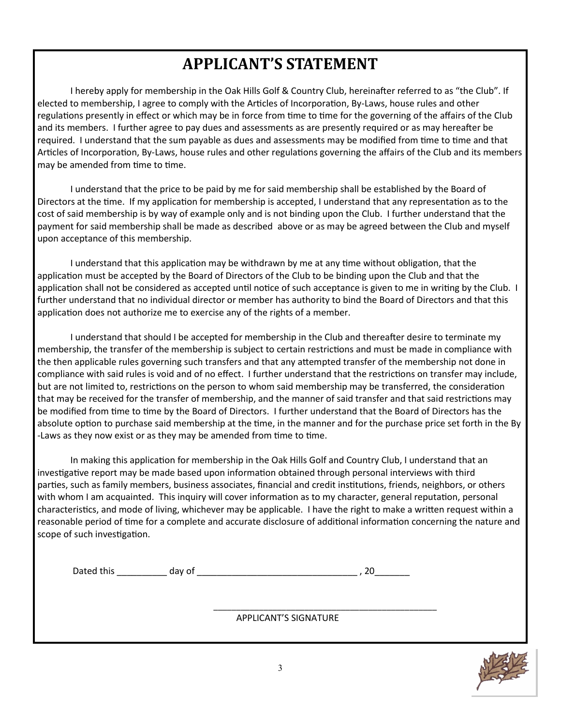## **APPLICANT'S STATEMENT**

I hereby apply for membership in the Oak Hills Golf & Country Club, hereinafter referred to as "the Club". If elected to membership, I agree to comply with the Articles of Incorporation, By-Laws, house rules and other regulations presently in effect or which may be in force from time to time for the governing of the affairs of the Club and its members. I further agree to pay dues and assessments as are presently required or as may hereafter be required. I understand that the sum payable as dues and assessments may be modified from time to time and that Articles of Incorporation, By-Laws, house rules and other regulations governing the affairs of the Club and its members may be amended from time to time.

I understand that the price to be paid by me for said membership shall be established by the Board of Directors at the time. If my application for membership is accepted, I understand that any representation as to the cost of said membership is by way of example only and is not binding upon the Club. I further understand that the payment for said membership shall be made as described above or as may be agreed between the Club and myself upon acceptance of this membership.

I understand that this application may be withdrawn by me at any time without obligation, that the application must be accepted by the Board of Directors of the Club to be binding upon the Club and that the application shall not be considered as accepted until notice of such acceptance is given to me in writing by the Club. I further understand that no individual director or member has authority to bind the Board of Directors and that this application does not authorize me to exercise any of the rights of a member.

I understand that should I be accepted for membership in the Club and thereafter desire to terminate my membership, the transfer of the membership is subject to certain restrictions and must be made in compliance with the then applicable rules governing such transfers and that any attempted transfer of the membership not done in compliance with said rules is void and of no effect. I further understand that the restrictions on transfer may include, but are not limited to, restrictions on the person to whom said membership may be transferred, the consideration that may be received for the transfer of membership, and the manner of said transfer and that said restrictions may be modified from time to time by the Board of Directors. I further understand that the Board of Directors has the absolute option to purchase said membership at the time, in the manner and for the purchase price set forth in the By -Laws as they now exist or as they may be amended from time to time.

In making this application for membership in the Oak Hills Golf and Country Club, I understand that an investigative report may be made based upon information obtained through personal interviews with third parties, such as family members, business associates, financial and credit institutions, friends, neighbors, or others with whom I am acquainted. This inquiry will cover information as to my character, general reputation, personal characteristics, and mode of living, whichever may be applicable. I have the right to make a written request within a reasonable period of time for a complete and accurate disclosure of additional information concerning the nature and scope of such investigation.

| Dated this | .av |  |
|------------|-----|--|
|            |     |  |

 $\frac{1}{2}$  ,  $\frac{1}{2}$  ,  $\frac{1}{2}$  ,  $\frac{1}{2}$  ,  $\frac{1}{2}$  ,  $\frac{1}{2}$  ,  $\frac{1}{2}$  ,  $\frac{1}{2}$  ,  $\frac{1}{2}$  ,  $\frac{1}{2}$  ,  $\frac{1}{2}$  ,  $\frac{1}{2}$  ,  $\frac{1}{2}$  ,  $\frac{1}{2}$  ,  $\frac{1}{2}$  ,  $\frac{1}{2}$  ,  $\frac{1}{2}$  ,  $\frac{1}{2}$  ,  $\frac{1$ 

APPLICANT'S SIGNATURE